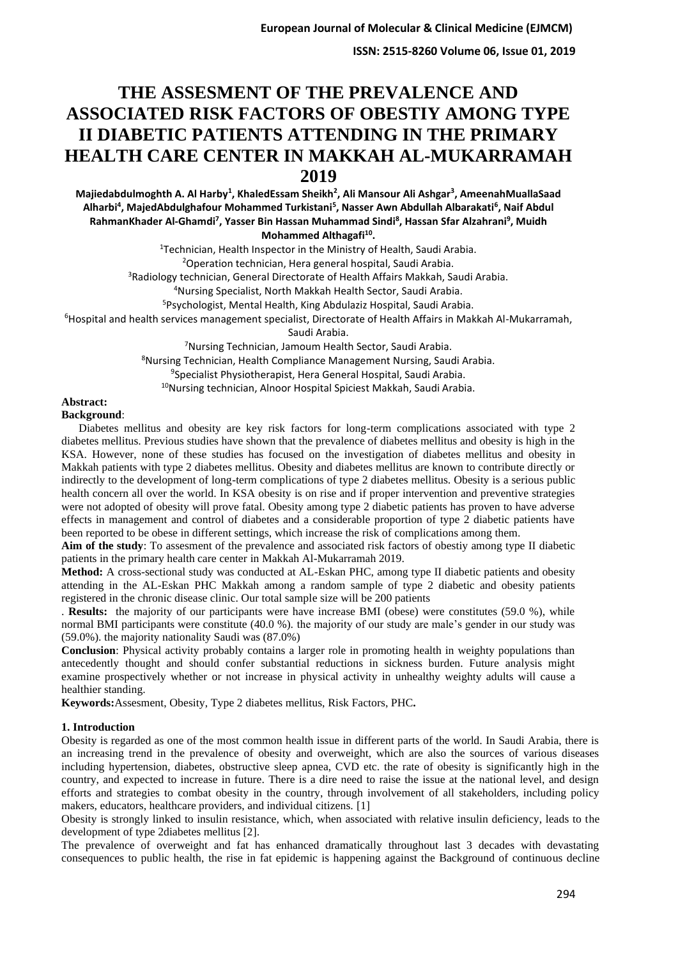**ISSN: 2515-8260 Volume 06, Issue 01, 2019**

# **THE ASSESMENT OF THE PREVALENCE AND ASSOCIATED RISK FACTORS OF OBESTIY AMONG TYPE II DIABETIC PATIENTS ATTENDING IN THE PRIMARY HEALTH CARE CENTER IN MAKKAH AL-MUKARRAMAH 2019**

**Majiedabdulmoghth A. Al Harby<sup>1</sup> , KhaledEssam Sheikh<sup>2</sup> , Ali Mansour Ali Ashgar<sup>3</sup> , AmeenahMuallaSaad Alharbi<sup>4</sup> , MajedAbdulghafour Mohammed Turkistani<sup>5</sup> , Nasser Awn Abdullah Albarakati<sup>6</sup> , Naif Abdul RahmanKhader Al-Ghamdi<sup>7</sup> , Yasser Bin Hassan Muhammad Sindi<sup>8</sup> , Hassan Sfar Alzahrani<sup>9</sup> , Muidh Mohammed Althagafi<sup>10</sup> .**

Technician, Health Inspector in the Ministry of Health, Saudi Arabia. Operation technician, Hera general hospital, Saudi Arabia. <sup>3</sup>Radiology technician, General Directorate of Health Affairs Makkah, Saudi Arabia. Nursing Specialist, North Makkah Health Sector, Saudi Arabia. Psychologist, Mental Health, King Abdulaziz Hospital, Saudi Arabia. Hospital and health services management specialist, Directorate of Health Affairs in Makkah Al-Mukarramah, Saudi Arabia.

Nursing Technician, Jamoum Health Sector, Saudi Arabia. Nursing Technician, Health Compliance Management Nursing, Saudi Arabia. Specialist Physiotherapist, Hera General Hospital, Saudi Arabia. Nursing technician, Alnoor Hospital Spiciest Makkah, Saudi Arabia.

#### **Abstract: Background**:

 Diabetes mellitus and obesity are key risk factors for long-term complications associated with type 2 diabetes mellitus. Previous studies have shown that the prevalence of diabetes mellitus and obesity is high in the KSA. However, none of these studies has focused on the investigation of diabetes mellitus and obesity in Makkah patients with type 2 diabetes mellitus. Obesity and diabetes mellitus are known to contribute directly or indirectly to the development of long-term complications of type 2 diabetes mellitus. Obesity is a serious public health concern all over the world. In KSA obesity is on rise and if proper intervention and preventive strategies were not adopted of obesity will prove fatal. Obesity among type 2 diabetic patients has proven to have adverse effects in management and control of diabetes and a considerable proportion of type 2 diabetic patients have been reported to be obese in different settings, which increase the risk of complications among them.

**Aim of the study**: To assesment of the prevalence and associated risk factors of obestiy among type II diabetic patients in the primary health care center in Makkah Al-Mukarramah 2019.

**Method:** A cross-sectional study was conducted at AL-Eskan PHC, among type II diabetic patients and obesity attending in the AL-Eskan PHC Makkah among a random sample of type 2 diabetic and obesity patients registered in the chronic disease clinic. Our total sample size will be 200 patients

. **Results:** the majority of our participants were have increase BMI (obese) were constitutes (59.0 %), while normal BMI participants were constitute (40.0 %). the majority of our study are male's gender in our study was (59.0%). the majority nationality Saudi was (87.0%)

**Conclusion**: Physical activity probably contains a larger role in promoting health in weighty populations than antecedently thought and should confer substantial reductions in sickness burden. Future analysis might examine prospectively whether or not increase in physical activity in unhealthy weighty adults will cause a healthier standing.

**Keywords:**Assesment, Obesity, Type 2 diabetes mellitus, Risk Factors, PHC**.** 

### **1. Introduction**

Obesity is regarded as one of the most common health issue in different parts of the world. In Saudi Arabia, there is an increasing trend in the prevalence of obesity and overweight, which are also the sources of various diseases including hypertension, diabetes, obstructive sleep apnea, CVD etc. the rate of obesity is significantly high in the country, and expected to increase in future. There is a dire need to raise the issue at the national level, and design efforts and strategies to combat obesity in the country, through involvement of all stakeholders, including policy makers, educators, healthcare providers, and individual citizens. [1]

Obesity is strongly linked to insulin resistance, which, when associated with relative insulin deficiency, leads to the development of type 2diabetes mellitus [2].

The prevalence of overweight and fat has enhanced dramatically throughout last 3 decades with devastating consequences to public health, the rise in fat epidemic is happening against the Background of continuous decline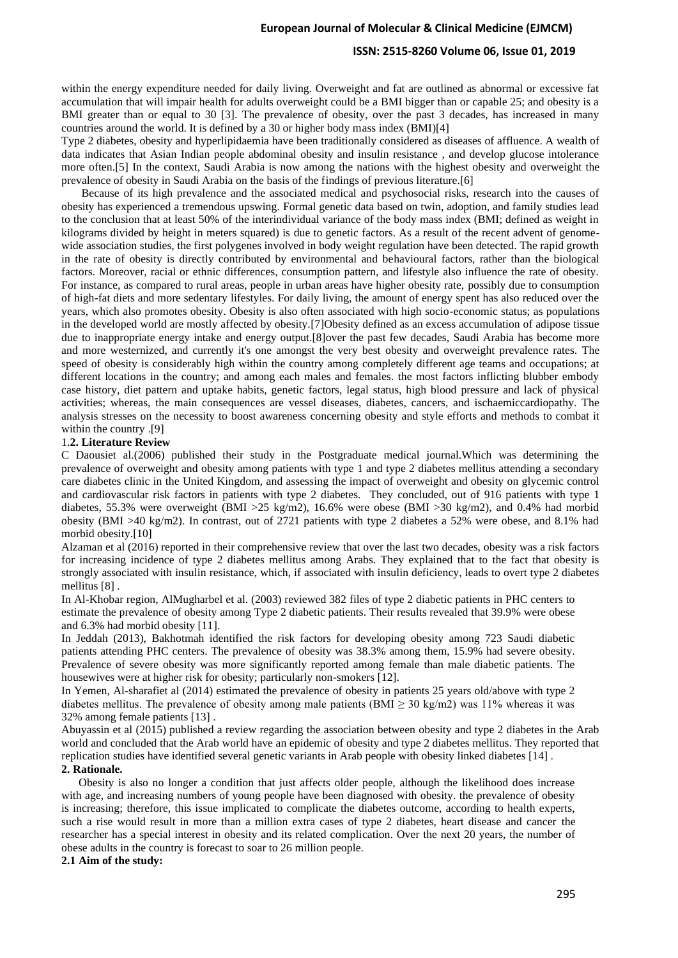#### **ISSN: 2515-8260 Volume 06, Issue 01, 2019**

within the energy expenditure needed for daily living. Overweight and fat are outlined as abnormal or excessive fat accumulation that will impair health for adults overweight could be a BMI bigger than or capable 25; and obesity is a BMI greater than or equal to 30 [3]. The prevalence of obesity, over the past 3 decades, has increased in many countries around the world. It is defined by a 30 or higher body mass index (BMI)[4]

Type 2 diabetes, obesity and hyperlipidaemia have been traditionally considered as diseases of affluence. A wealth of data indicates that Asian Indian people abdominal obesity and insulin resistance , and develop glucose intolerance more often.[5] In the context, Saudi Arabia is now among the nations with the highest obesity and overweight the prevalence of obesity in Saudi Arabia on the basis of the findings of previous literature.[6]

 Because of its high prevalence and the associated medical and psychosocial risks, research into the causes of obesity has experienced a tremendous upswing. Formal genetic data based on twin, adoption, and family studies lead to the conclusion that at least 50% of the interindividual variance of the body mass index (BMI; defined as weight in kilograms divided by height in meters squared) is due to genetic factors. As a result of the recent advent of genomewide association studies, the first polygenes involved in body weight regulation have been detected. The rapid growth in the rate of obesity is directly contributed by environmental and behavioural factors, rather than the biological factors. Moreover, racial or ethnic differences, consumption pattern, and lifestyle also influence the rate of obesity. For instance, as compared to rural areas, people in urban areas have higher obesity rate, possibly due to consumption of high-fat diets and more sedentary lifestyles. For daily living, the amount of energy spent has also reduced over the years, which also promotes obesity. Obesity is also often associated with high socio-economic status; as populations in the developed world are mostly affected by obesity.[7]Obesity defined as an excess accumulation of adipose tissue due to inappropriate energy intake and energy output.[8]over the past few decades, Saudi Arabia has become more and more westernized, and currently it's one amongst the very best obesity and overweight prevalence rates. The speed of obesity is considerably high within the country among completely different age teams and occupations; at different locations in the country; and among each males and females. the most factors inflicting blubber embody case history, diet pattern and uptake habits, genetic factors, legal status, high blood pressure and lack of physical activities; whereas, the main consequences are vessel diseases, diabetes, cancers, and ischaemiccardiopathy. The analysis stresses on the necessity to boost awareness concerning obesity and style efforts and methods to combat it within the country .[9]

#### 1.**2. Literature Review**

C Daousiet al.(2006) published their study in the Postgraduate medical journal.Which was determining the prevalence of overweight and obesity among patients with type 1 and type 2 diabetes mellitus attending a secondary care diabetes clinic in the United Kingdom, and assessing the impact of overweight and obesity on glycemic control and cardiovascular risk factors in patients with type 2 diabetes. They concluded, out of 916 patients with type 1 diabetes, 55.3% were overweight (BMI >25 kg/m2), 16.6% were obese (BMI >30 kg/m2), and 0.4% had morbid obesity (BMI >40 kg/m2). In contrast, out of 2721 patients with type 2 diabetes a 52% were obese, and 8.1% had morbid obesity.[10]

Alzaman et al (2016) reported in their comprehensive review that over the last two decades, obesity was a risk factors for increasing incidence of type 2 diabetes mellitus among Arabs. They explained that to the fact that obesity is strongly associated with insulin resistance, which, if associated with insulin deficiency, leads to overt type 2 diabetes mellitus [8] .

In Al-Khobar region, AlMugharbel et al. (2003) reviewed 382 files of type 2 diabetic patients in PHC centers to estimate the prevalence of obesity among Type 2 diabetic patients. Their results revealed that 39.9% were obese and 6.3% had morbid obesity [11].

In Jeddah (2013), Bakhotmah identified the risk factors for developing obesity among 723 Saudi diabetic patients attending PHC centers. The prevalence of obesity was 38.3% among them, 15.9% had severe obesity. Prevalence of severe obesity was more significantly reported among female than male diabetic patients. The housewives were at higher risk for obesity; particularly non-smokers [12].

In Yemen, Al-sharafiet al (2014) estimated the prevalence of obesity in patients 25 years old/above with type 2 diabetes mellitus. The prevalence of obesity among male patients (BMI  $\geq$  30 kg/m2) was 11% whereas it was 32% among female patients [13] .

Abuyassin et al (2015) published a review regarding the association between obesity and type 2 diabetes in the Arab world and concluded that the Arab world have an epidemic of obesity and type 2 diabetes mellitus. They reported that replication studies have identified several genetic variants in Arab people with obesity linked diabetes [14] . 2. Rationale.

 Obesity is also no longer a condition that just affects older people, although the likelihood does increase with age, and increasing numbers of young people have been diagnosed with obesity. the prevalence of obesity is increasing; therefore, this issue implicated to complicate the diabetes outcome, according to health experts, such a rise would result in more than a million extra cases of type 2 diabetes, heart disease and cancer the researcher has a special interest in obesity and its related complication. Over the next 20 years, the number of obese adults in the country is forecast to soar to 26 million people.

#### **2.1 Aim of the study :**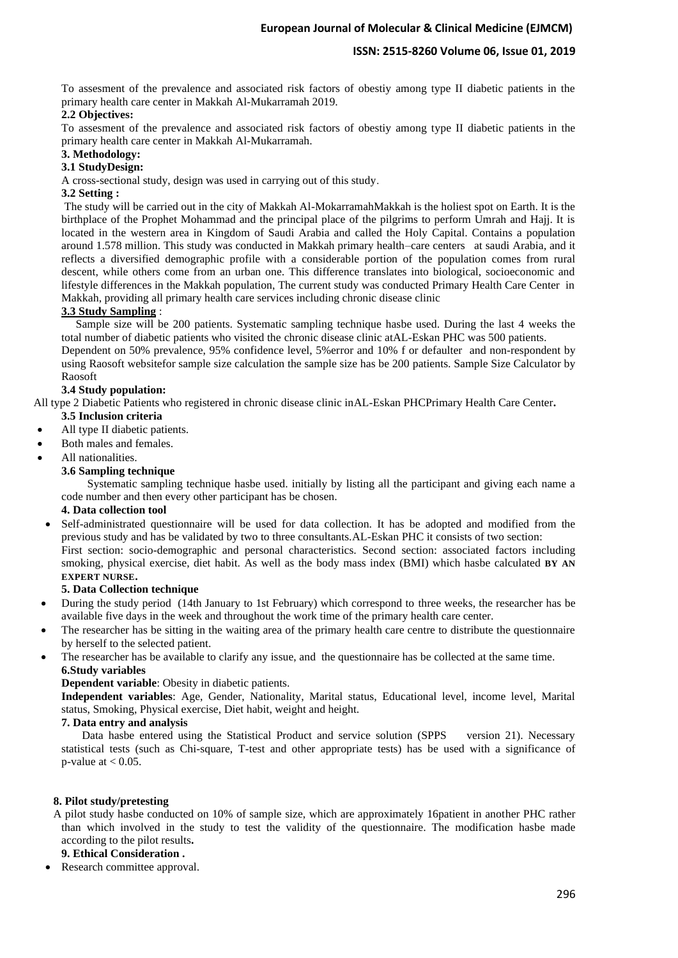# **ISSN: 2515-8260 Volume 06, Issue 01, 2019**

To assesment of the prevalence and associated risk factors of obestiy among type II diabetic patients in the primary health care center in Makkah Al-Mukarramah 2019.

## **2.2 Objectives:**

To assesment of the prevalence and associated risk factors of obestiy among type II diabetic patients in the primary health care center in Makkah Al-Mukarramah.

### **3. Methodology :**

### **3.1 StudyDesign:**

A cross-sectional study, design was used in carrying out of this study.

### **3.2 Setting :**

The study will be carried out in the city of Makkah Al-MokarramahMakkah is the holiest spot on Earth. It is the birthplace of the Prophet Mohammad and the principal place of the pilgrims to perform Umrah and Hajj. It is located in the western area in Kingdom of Saudi Arabia and called the Holy Capital. Contains a population around 1.578 million. This study was conducted in Makkah primary health–care centers at saudi Arabia, and it reflects a diversified demographic profile with a considerable portion of the population comes from rural descent, while others come from an urban one. This difference translates into biological, socioeconomic and lifestyle differences in the Makkah population, The current study was conducted Primary Health Care Center in Makkah, providing all primary health care services including chronic disease clinic

### **3.3 Study Sampling** :

 Sample size will be 200 patients. Systematic sampling technique hasbe used. During the last 4 weeks the total number of diabetic patients who visited the chronic disease clinic atAL-Eskan PHC was 500 patients.

Dependent on 50% prevalence, 95% confidence level, 5%error and 10% f or defaulter and non-respondent by using Raosoft websitefor sample size calculation the sample size has be 200 patients. Sample Size Calculator by Raosoft

### **3.4 Study population:**

All type 2 Diabetic Patients who registered in chronic disease clinic inAL-Eskan PHCPrimary Health Care Center**.**

- **3.5 Inclusion criteria**
- All type II diabetic patients.
- Both males and females.
- All nationalities.

#### **3.6 Sampling technique**

 Systematic sampling technique hasbe used. initially by listing all the participant and giving each name a code number and then every other participant has be chosen.

### **4. Data collection tool**

• Self-administrated questionnaire will be used for data collection. It has be adopted and modified from the previous study and has be validated by two to three consultants.AL-Eskan PHC it consists of two section: First section: socio-demographic and personal characteristics. Second section: associated factors including smoking, physical exercise, diet habit. As well as the body mass index (BMI) which hasbe calculated **BY AN EXPERT NURSE.**

#### **5. Data Collection technique**

- During the study period (14th January to 1st February) which correspond to three weeks, the researcher has be available five days in the week and throughout the work time of the primary health care center.
- The researcher has be sitting in the waiting area of the primary health care centre to distribute the questionnaire by herself to the selected patient.
- The researcher has be available to clarify any issue, and the questionnaire has be collected at the same time. **6.Study variables**

#### **Dependent variable**: Obesity in diabetic patients.

**Independent variables**: Age, Gender, Nationality, Marital status, Educational level, income level, Marital status, Smoking, Physical exercise, Diet habit, weight and height.

#### **7. Data entry and analysis**

Data hasbe entered using the Statistical Product and service solution (SPPS version 21). Necessary statistical tests (such as Chi-square, T-test and other appropriate tests) has be used with a significance of p-value at  $< 0.05$ .

#### **8. Pilot study/pretesting**

A pilot study hasbe conducted on 10% of sample size, which are approximately 16patient in another PHC rather than which involved in the study to test the validity of the questionnaire. The modification hasbe made according to the pilot results**.**

# **9. Ethical Consideration .**

Research committee approval.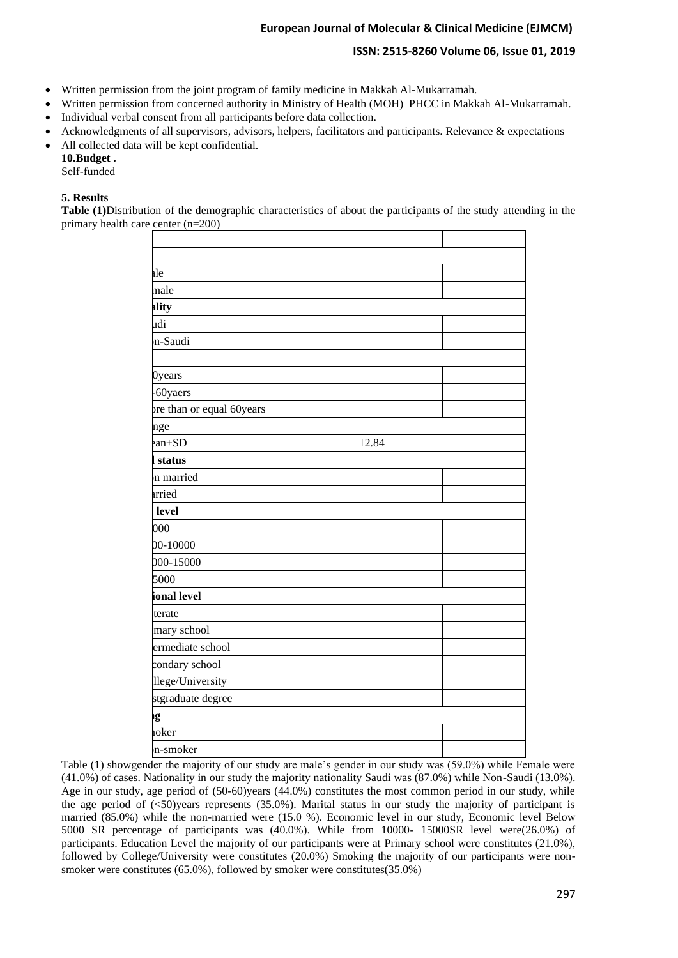# **ISSN: 2515-8260 Volume 06, Issue 01, 2019**

- Written permission from the joint program of family medicine in Makkah Al-Mukarramah.
- Written permission from concerned authority in Ministry of Health (MOH) PHCC in Makkah Al-Mukarramah.
- Individual verbal consent from all participants before data collection.
- Acknowledgments of all supervisors, advisors, helpers, facilitators and participants. Relevance & expectations
- All collected data will be kept confidential.

**10.Budget .** Self-funded

# **5. Results**

**Table (1)**Distribution of the demographic characteristics of about the participants of the study attending in the primary health care center (n=200)

| ale<br>male<br>ality<br>udi<br>n-Saudi<br>0years<br>-60yaers<br>pre than or equal 60years<br>nge<br>anhSD<br>status<br>n married<br>arried<br>level<br>000<br>00-10000<br>000-15000<br>5000<br>ional level<br>terate<br>mary school<br>ermediate school<br>condary school<br>llege/University<br>stgraduate degree<br>ıg |      |  |
|--------------------------------------------------------------------------------------------------------------------------------------------------------------------------------------------------------------------------------------------------------------------------------------------------------------------------|------|--|
|                                                                                                                                                                                                                                                                                                                          |      |  |
|                                                                                                                                                                                                                                                                                                                          |      |  |
|                                                                                                                                                                                                                                                                                                                          |      |  |
|                                                                                                                                                                                                                                                                                                                          |      |  |
|                                                                                                                                                                                                                                                                                                                          |      |  |
|                                                                                                                                                                                                                                                                                                                          | 2.84 |  |
|                                                                                                                                                                                                                                                                                                                          |      |  |
|                                                                                                                                                                                                                                                                                                                          |      |  |
|                                                                                                                                                                                                                                                                                                                          |      |  |
|                                                                                                                                                                                                                                                                                                                          |      |  |
|                                                                                                                                                                                                                                                                                                                          |      |  |
|                                                                                                                                                                                                                                                                                                                          |      |  |
|                                                                                                                                                                                                                                                                                                                          |      |  |
|                                                                                                                                                                                                                                                                                                                          |      |  |
|                                                                                                                                                                                                                                                                                                                          |      |  |
|                                                                                                                                                                                                                                                                                                                          |      |  |
|                                                                                                                                                                                                                                                                                                                          |      |  |
|                                                                                                                                                                                                                                                                                                                          |      |  |
|                                                                                                                                                                                                                                                                                                                          |      |  |
|                                                                                                                                                                                                                                                                                                                          |      |  |
|                                                                                                                                                                                                                                                                                                                          |      |  |
|                                                                                                                                                                                                                                                                                                                          |      |  |
| oker                                                                                                                                                                                                                                                                                                                     |      |  |
| n-smoker                                                                                                                                                                                                                                                                                                                 |      |  |

Table (1) showgender the majority of our study are male's gender in our study was (59.0%) while Female were (41.0%) of cases. Nationality in our study the majority nationality Saudi was (87.0%) while Non-Saudi (13.0%). Age in our study, age period of (50-60)years (44.0%) constitutes the most common period in our study, while the age period of  $\langle$  50)years represents (35.0%). Marital status in our study the majority of participant is married (85.0%) while the non-married were (15.0 %). Economic level in our study, Economic level Below 5000 SR percentage of participants was (40.0%). While from 10000- 15000SR level were(26.0%) of participants. Education Level the majority of our participants were at Primary school were constitutes (21.0%), followed by College/University were constitutes (20.0%) Smoking the majority of our participants were nonsmoker were constitutes (65.0%), followed by smoker were constitutes(35.0%)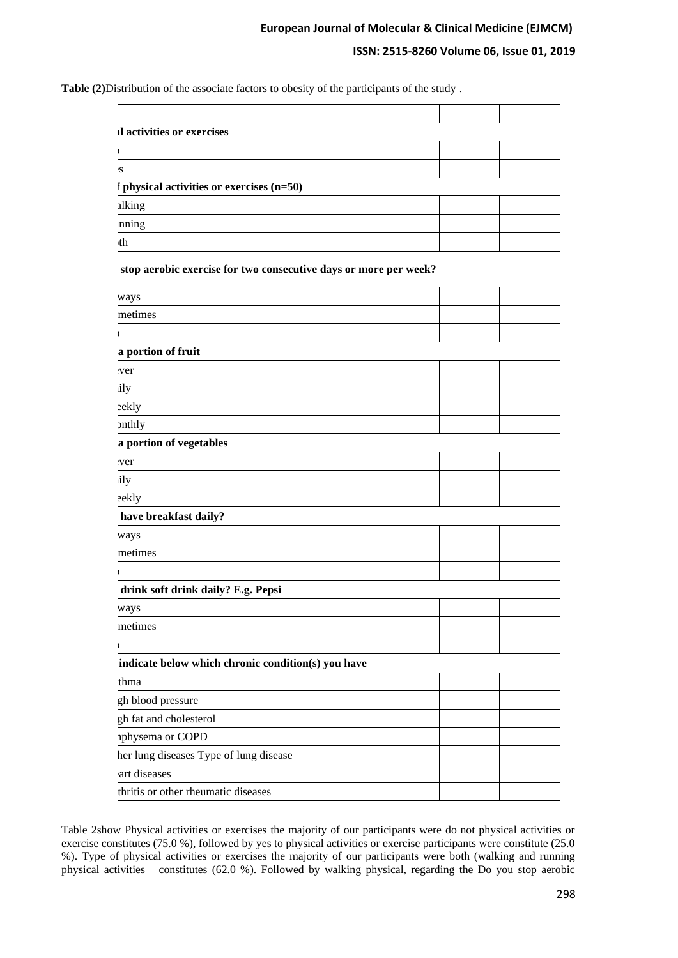# **ISSN: 2515-8260 Volume 06, Issue 01, 2019**

**Table (2)**Distribution of the associate factors to obesity of the participants of the study .

| l activities or exercises                                                                                                                                                                                                                                                                                                                                                                                                                                                                             |  |  |
|-------------------------------------------------------------------------------------------------------------------------------------------------------------------------------------------------------------------------------------------------------------------------------------------------------------------------------------------------------------------------------------------------------------------------------------------------------------------------------------------------------|--|--|
|                                                                                                                                                                                                                                                                                                                                                                                                                                                                                                       |  |  |
| S                                                                                                                                                                                                                                                                                                                                                                                                                                                                                                     |  |  |
| physical activities or exercises (n=50)                                                                                                                                                                                                                                                                                                                                                                                                                                                               |  |  |
|                                                                                                                                                                                                                                                                                                                                                                                                                                                                                                       |  |  |
|                                                                                                                                                                                                                                                                                                                                                                                                                                                                                                       |  |  |
|                                                                                                                                                                                                                                                                                                                                                                                                                                                                                                       |  |  |
|                                                                                                                                                                                                                                                                                                                                                                                                                                                                                                       |  |  |
|                                                                                                                                                                                                                                                                                                                                                                                                                                                                                                       |  |  |
|                                                                                                                                                                                                                                                                                                                                                                                                                                                                                                       |  |  |
| alking<br>nning<br>th<br>stop aerobic exercise for two consecutive days or more per week?<br>ways<br>metimes<br>a portion of fruit<br>ver<br>ily<br>eekly<br>onthly<br>a portion of vegetables<br>ver<br>ily<br>eekly<br>have breakfast daily?<br>ways<br>metimes<br>drink soft drink daily? E.g. Pepsi<br>ways<br>metimes<br>indicate below which chronic condition(s) you have<br>thma<br>gh blood pressure<br>gh fat and cholesterol<br>aphysema or COPD<br>her lung diseases Type of lung disease |  |  |
|                                                                                                                                                                                                                                                                                                                                                                                                                                                                                                       |  |  |
|                                                                                                                                                                                                                                                                                                                                                                                                                                                                                                       |  |  |
|                                                                                                                                                                                                                                                                                                                                                                                                                                                                                                       |  |  |
|                                                                                                                                                                                                                                                                                                                                                                                                                                                                                                       |  |  |
|                                                                                                                                                                                                                                                                                                                                                                                                                                                                                                       |  |  |
|                                                                                                                                                                                                                                                                                                                                                                                                                                                                                                       |  |  |
|                                                                                                                                                                                                                                                                                                                                                                                                                                                                                                       |  |  |
|                                                                                                                                                                                                                                                                                                                                                                                                                                                                                                       |  |  |
|                                                                                                                                                                                                                                                                                                                                                                                                                                                                                                       |  |  |
|                                                                                                                                                                                                                                                                                                                                                                                                                                                                                                       |  |  |
|                                                                                                                                                                                                                                                                                                                                                                                                                                                                                                       |  |  |
|                                                                                                                                                                                                                                                                                                                                                                                                                                                                                                       |  |  |
|                                                                                                                                                                                                                                                                                                                                                                                                                                                                                                       |  |  |
|                                                                                                                                                                                                                                                                                                                                                                                                                                                                                                       |  |  |
|                                                                                                                                                                                                                                                                                                                                                                                                                                                                                                       |  |  |
|                                                                                                                                                                                                                                                                                                                                                                                                                                                                                                       |  |  |
|                                                                                                                                                                                                                                                                                                                                                                                                                                                                                                       |  |  |
|                                                                                                                                                                                                                                                                                                                                                                                                                                                                                                       |  |  |
|                                                                                                                                                                                                                                                                                                                                                                                                                                                                                                       |  |  |
|                                                                                                                                                                                                                                                                                                                                                                                                                                                                                                       |  |  |
|                                                                                                                                                                                                                                                                                                                                                                                                                                                                                                       |  |  |
|                                                                                                                                                                                                                                                                                                                                                                                                                                                                                                       |  |  |
|                                                                                                                                                                                                                                                                                                                                                                                                                                                                                                       |  |  |
| art diseases                                                                                                                                                                                                                                                                                                                                                                                                                                                                                          |  |  |
| thritis or other rheumatic diseases                                                                                                                                                                                                                                                                                                                                                                                                                                                                   |  |  |

Table 2show Physical activities or exercises the majority of our participants were do not physical activities or exercise constitutes (75.0 %), followed by yes to physical activities or exercise participants were constitute (25.0 %). Type of physical activities or exercises the majority of our participants were both (walking and running physical activities constitutes (62.0 %). Followed by walking physical, regarding the Do you stop aerobic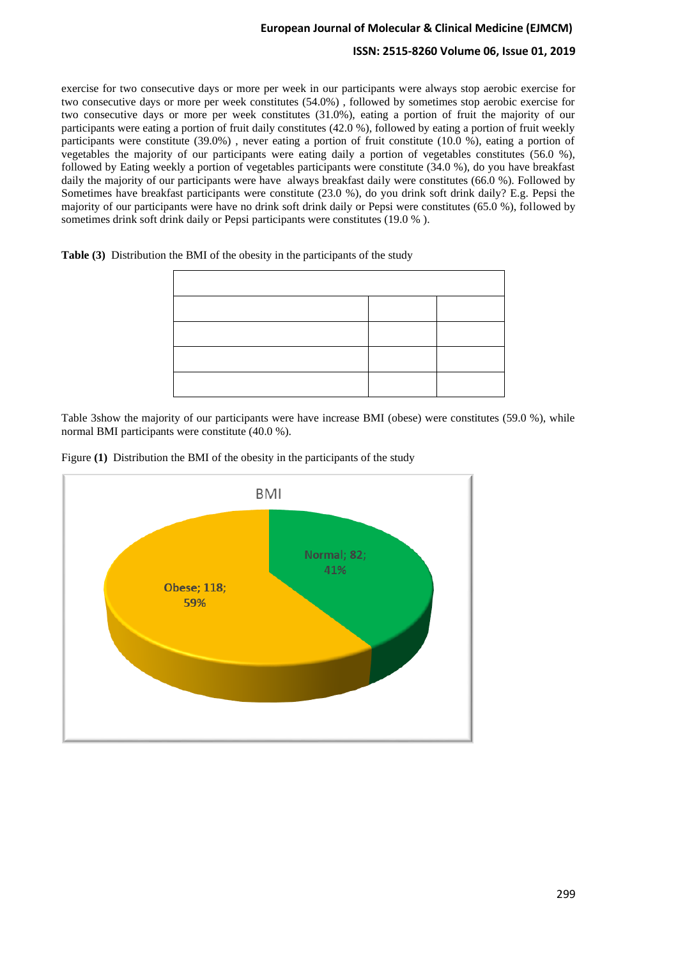### **ISSN: 2515-8260 Volume 06, Issue 01, 2019**

exercise for two consecutive days or more per week in our participants were always stop aerobic exercise for two consecutive days or more per week constitutes (54.0%) , followed by sometimes stop aerobic exercise for two consecutive days or more per week constitutes (31.0%), eating a portion of fruit the majority of our participants were eating a portion of fruit daily constitutes (42.0 %), followed by eating a portion of fruit weekly participants were constitute (39.0%) , never eating a portion of fruit constitute (10.0 %), eating a portion of vegetables the majority of our participants were eating daily a portion of vegetables constitutes (56.0 %), followed by Eating weekly a portion of vegetables participants were constitute (34.0 %), do you have breakfast daily the majority of our participants were have always breakfast daily were constitutes (66.0 %). Followed by Sometimes have breakfast participants were constitute (23.0 %), do you drink soft drink daily? E.g. Pepsi the majority of our participants were have no drink soft drink daily or Pepsi were constitutes (65.0 %), followed by sometimes drink soft drink daily or Pepsi participants were constitutes (19.0 % ).

**Table (3)** Distribution the BMI of the obesity in the participants of the study

Table 3show the majority of our participants were have increase BMI (obese) were constitutes (59.0 %), while normal BMI participants were constitute (40.0 %).



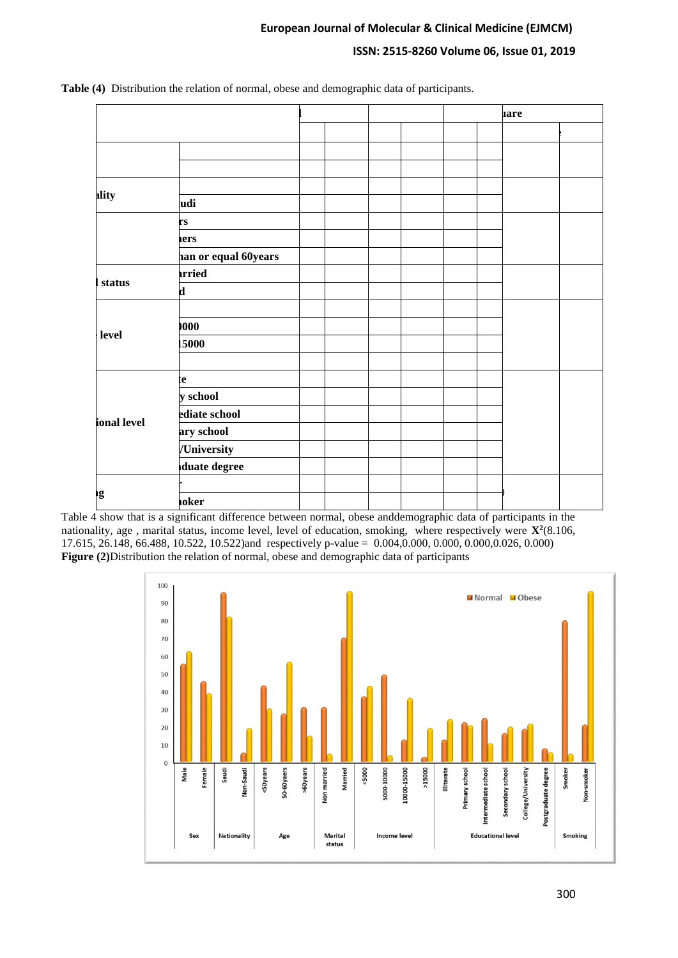# **ISSN: 2515-8260 Volume 06, Issue 01, 2019**

|             |                      |  |  |  |  |  | <b>lare</b> |  |
|-------------|----------------------|--|--|--|--|--|-------------|--|
|             |                      |  |  |  |  |  |             |  |
|             |                      |  |  |  |  |  |             |  |
|             |                      |  |  |  |  |  |             |  |
| ality       |                      |  |  |  |  |  |             |  |
|             | udi                  |  |  |  |  |  |             |  |
|             | rs                   |  |  |  |  |  |             |  |
|             | ers                  |  |  |  |  |  |             |  |
|             | han or equal 60years |  |  |  |  |  |             |  |
| status      | arried               |  |  |  |  |  |             |  |
|             | $\mathbf{d}$         |  |  |  |  |  |             |  |
|             |                      |  |  |  |  |  |             |  |
| level       | 000                  |  |  |  |  |  |             |  |
|             | 15000                |  |  |  |  |  |             |  |
|             |                      |  |  |  |  |  |             |  |
|             | te                   |  |  |  |  |  |             |  |
|             | y school             |  |  |  |  |  |             |  |
| ional level | ediate school        |  |  |  |  |  |             |  |
|             | ary school           |  |  |  |  |  |             |  |
|             | /University          |  |  |  |  |  |             |  |
|             | duate degree         |  |  |  |  |  |             |  |
|             |                      |  |  |  |  |  |             |  |
| ıg          | <b>10ker</b>         |  |  |  |  |  |             |  |

**Table (4)** Distribution the relation of normal, obese and demographic data of participants.

Table 4 show that is a significant difference between normal, obese anddemographic data of participants in the nationality, age , marital status, income level, level of education, smoking, where respectively were **X<sup>2</sup>** (8.106, 17.615, 26.148, 66.488, 10.522, 10.522)and respectively p-value = 0.004,0.000, 0.000, 0.000,0.026, 0.000) **Figure (2)**Distribution the relation of normal, obese and demographic data of participants

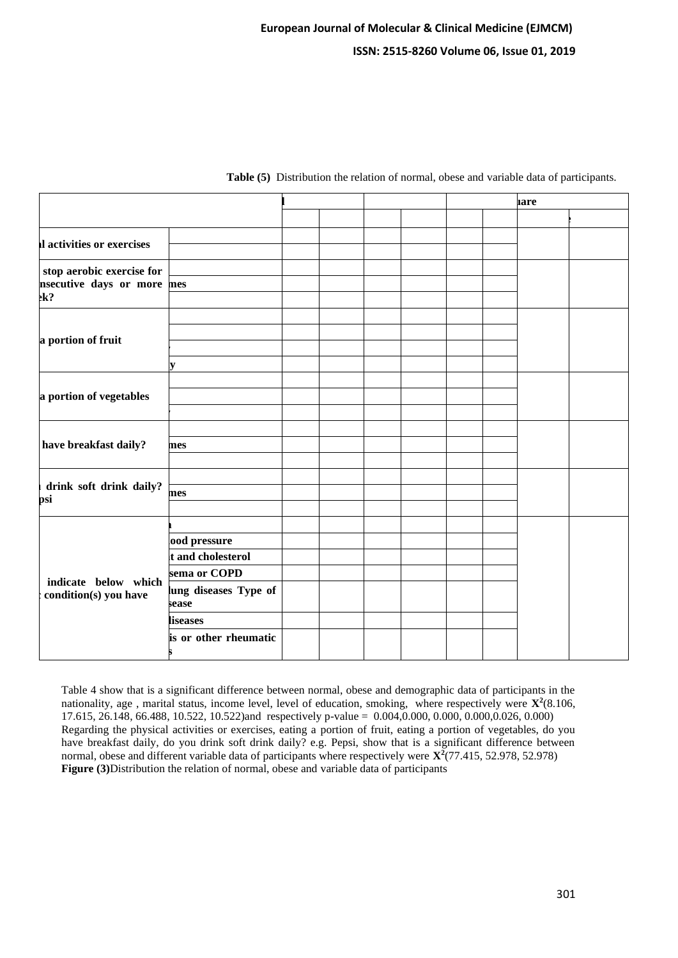|                                               |                                |  |  |  |  | <b>are</b> |  |
|-----------------------------------------------|--------------------------------|--|--|--|--|------------|--|
|                                               |                                |  |  |  |  |            |  |
| Il activities or exercises                    |                                |  |  |  |  |            |  |
|                                               |                                |  |  |  |  |            |  |
| stop aerobic exercise for                     |                                |  |  |  |  |            |  |
| nsecutive days or more mes<br>$k$ ?           |                                |  |  |  |  |            |  |
|                                               |                                |  |  |  |  |            |  |
|                                               |                                |  |  |  |  |            |  |
| a portion of fruit                            |                                |  |  |  |  |            |  |
|                                               | $\overline{\mathbf{v}}$        |  |  |  |  |            |  |
|                                               |                                |  |  |  |  |            |  |
| a portion of vegetables                       |                                |  |  |  |  |            |  |
|                                               |                                |  |  |  |  |            |  |
|                                               |                                |  |  |  |  |            |  |
| have breakfast daily?                         | mes                            |  |  |  |  |            |  |
|                                               |                                |  |  |  |  |            |  |
|                                               |                                |  |  |  |  |            |  |
| drink soft drink daily?<br>psi                | mes                            |  |  |  |  |            |  |
|                                               |                                |  |  |  |  |            |  |
|                                               |                                |  |  |  |  |            |  |
| indicate below which<br>condition(s) you have | lood pressure                  |  |  |  |  |            |  |
|                                               | t and cholesterol              |  |  |  |  |            |  |
|                                               | sema or COPD                   |  |  |  |  |            |  |
|                                               | lung diseases Type of<br>sease |  |  |  |  |            |  |
|                                               | liseases                       |  |  |  |  |            |  |
|                                               | is or other rheumatic          |  |  |  |  |            |  |

**Table (5)** Distribution the relation of normal, obese and variable data of participants.

Table 4 show that is a significant difference between normal, obese and demographic data of participants in the nationality, age, marital status, income level, level of education, smoking, where respectively were  $\mathbf{X}^2$ (8.106, 17.615, 26.148, 66.488, 10.522, 10.522)and respectively p-value =  $0.004, 0.000, 0.000, 0.000, 0.026, 0.000)$ Regarding the physical activities or exercises, eating a portion of fruit, eating a portion of vegetables, do you have breakfast daily, do you drink soft drink daily? e.g. Pepsi, show that is a significant difference between normal, obese and different variable data of participants where respectively were **X<sup>2</sup>** (77.415, 52.978, 52.978) **Figure (3)**Distribution the relation of normal, obese and variable data of participants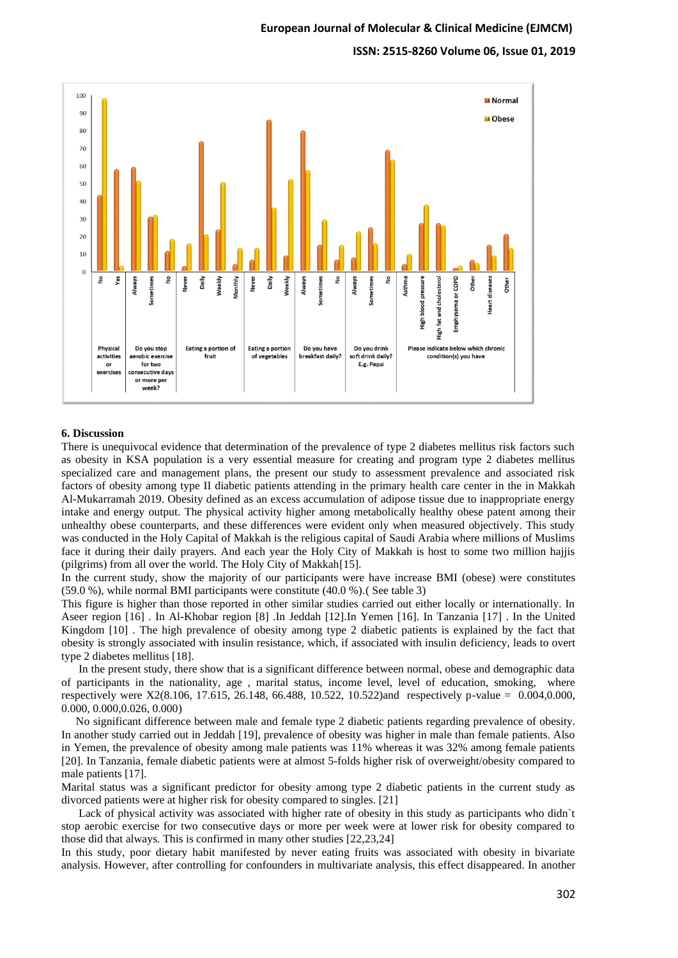**ISSN: 2515-8260 Volume 06, Issue 01, 2019**



#### **6. Discussion**

There is unequivocal evidence that determination of the prevalence of type 2 diabetes mellitus risk factors such as obesity in KSA population is a very essential measure for creating and program type 2 diabetes mellitus specialized care and management plans, the present our study to assessment prevalence and associated risk factors of obesity among type II diabetic patients attending in the primary health care center in the in Makkah Al-Mukarramah 2019. Obesity defined as an excess accumulation of adipose tissue due to inappropriate energy intake and energy output. The physical activity higher among metabolically healthy obese patent among their unhealthy obese counterparts, and these differences were evident only when measured objectively. This study was conducted in the Holy Capital of Makkah is the religious capital of Saudi Arabia where millions of Muslims face it during their daily prayers. And each year the Holy City of Makkah is host to some two million hajjis (pilgrims) from all over the world. The Holy City of Makkah[15].

In the current study, show the majority of our participants were have increase BMI (obese) were constitutes (59.0 %), while normal BMI participants were constitute (40.0 %).( See table 3)

This figure is higher than those reported in other similar studies carried out either locally or internationally. In Aseer region [16] . In Al-Khobar region [8] .In Jeddah [12].In Yemen [16]. In Tanzania [17] . In the United Kingdom [10] . The high prevalence of obesity among type 2 diabetic patients is explained by the fact that obesity is strongly associated with insulin resistance, which, if associated with insulin deficiency, leads to overt type 2 diabetes mellitus [18].

 In the present study, there show that is a significant difference between normal, obese and demographic data of participants in the nationality, age , marital status, income level, level of education, smoking, where respectively were X2(8.106, 17.615, 26.148, 66.488, 10.522, 10.522)and respectively p-value = 0.004,0.000, 0.000, 0.000,0.026, 0.000)

 No significant difference between male and female type 2 diabetic patients regarding prevalence of obesity. In another study carried out in Jeddah [19], prevalence of obesity was higher in male than female patients. Also in Yemen, the prevalence of obesity among male patients was 11% whereas it was 32% among female patients [20]. In Tanzania, female diabetic patients were at almost 5-folds higher risk of overweight/obesity compared to male patients [17].

Marital status was a significant predictor for obesity among type 2 diabetic patients in the current study as divorced patients were at higher risk for obesity compared to singles. [21]

Lack of physical activity was associated with higher rate of obesity in this study as participants who didn't stop aerobic exercise for two consecutive days or more per week were at lower risk for obesity compared to those did that always. This is confirmed in many other studies [22,23,24]

In this study, poor dietary habit manifested by never eating fruits was associated with obesity in bivariate analysis. However, after controlling for confounders in multivariate analysis, this effect disappeared. In another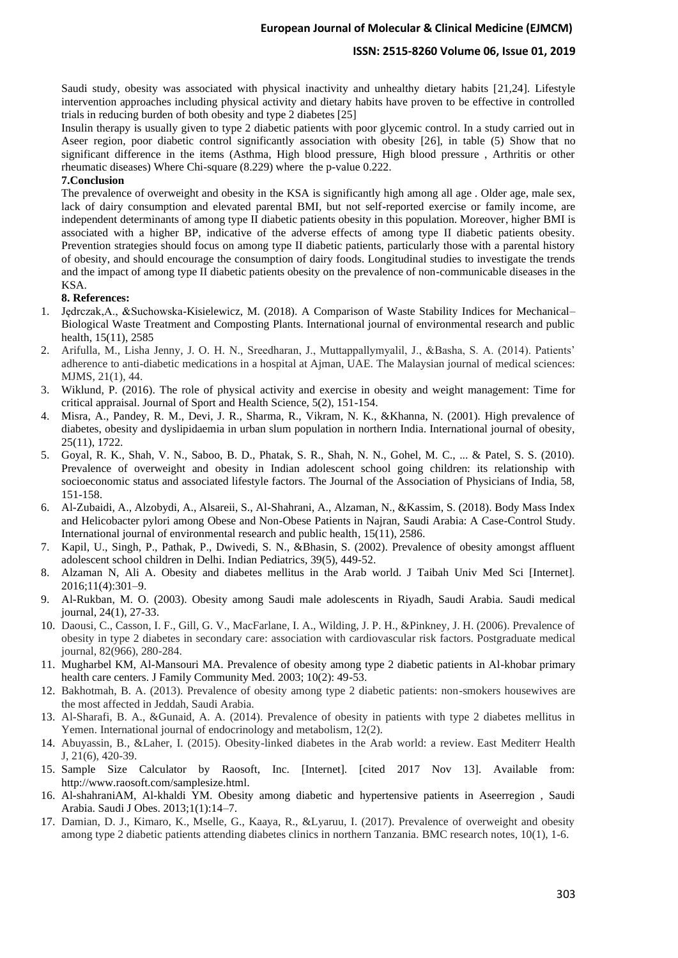### **ISSN: 2515-8260 Volume 06, Issue 01, 2019**

Saudi study, obesity was associated with physical inactivity and unhealthy dietary habits [21,24]. Lifestyle intervention approaches including physical activity and dietary habits have proven to be effective in controlled trials in reducing burden of both obesity and type 2 diabetes [25]

Insulin therapy is usually given to type 2 diabetic patients with poor glycemic control. In a study carried out in Aseer region, poor diabetic control significantly association with obesity [26], in table (5) Show that no significant difference in the items (Asthma, High blood pressure, High blood pressure , Arthritis or other rheumatic diseases) Where Chi-square (8.229) where the p-value 0.222.

### **7.Conclusion**

The prevalence of overweight and obesity in the KSA is significantly high among all age . Older age, male sex, lack of dairy consumption and elevated parental BMI, but not self-reported exercise or family income, are independent determinants of among type II diabetic patients obesity in this population. Moreover, higher BMI is associated with a higher BP, indicative of the adverse effects of among type II diabetic patients obesity. Prevention strategies should focus on among type II diabetic patients, particularly those with a parental history of obesity, and should encourage the consumption of dairy foods. Longitudinal studies to investigate the trends and the impact of among type II diabetic patients obesity on the prevalence of non-communicable diseases in the KSA.

#### **8. References:**

- 1. Jędrczak,A., &Suchowska-Kisielewicz, M. (2018). A Comparison of Waste Stability Indices for Mechanical– Biological Waste Treatment and Composting Plants. International journal of environmental research and public health, 15(11), 2585
- 2. Arifulla, M., Lisha Jenny, J. O. H. N., Sreedharan, J., Muttappallymyalil, J., &Basha, S. A. (2014). Patients' adherence to anti-diabetic medications in a hospital at Ajman, UAE. The Malaysian journal of medical sciences: MJMS, 21(1), 44.
- 3. Wiklund, P. (2016). The role of physical activity and exercise in obesity and weight management: Time for critical appraisal. Journal of Sport and Health Science, 5(2), 151-154.
- 4. Misra, A., Pandey, R. M., Devi, J. R., Sharma, R., Vikram, N. K., &Khanna, N. (2001). High prevalence of diabetes, obesity and dyslipidaemia in urban slum population in northern India. International journal of obesity, 25(11), 1722.
- 5. Goyal, R. K., Shah, V. N., Saboo, B. D., Phatak, S. R., Shah, N. N., Gohel, M. C., ... & Patel, S. S. (2010). Prevalence of overweight and obesity in Indian adolescent school going children: its relationship with socioeconomic status and associated lifestyle factors. The Journal of the Association of Physicians of India, 58, 151-158.
- 6. Al-Zubaidi, A., Alzobydi, A., Alsareii, S., Al-Shahrani, A., Alzaman, N., &Kassim, S. (2018). Body Mass Index and Helicobacter pylori among Obese and Non-Obese Patients in Najran, Saudi Arabia: A Case-Control Study. International journal of environmental research and public health, 15(11), 2586.
- 7. Kapil, U., Singh, P., Pathak, P., Dwivedi, S. N., &Bhasin, S. (2002). Prevalence of obesity amongst affluent adolescent school children in Delhi. Indian Pediatrics, 39(5), 449-52.
- 8. Alzaman N, Ali A. Obesity and diabetes mellitus in the Arab world. J Taibah Univ Med Sci [Internet]. 2016;11(4):301–9.
- 9. Al-Rukban, M. O. (2003). Obesity among Saudi male adolescents in Riyadh, Saudi Arabia. Saudi medical journal, 24(1), 27-33.
- 10. Daousi, C., Casson, I. F., Gill, G. V., MacFarlane, I. A., Wilding, J. P. H., &Pinkney, J. H. (2006). Prevalence of obesity in type 2 diabetes in secondary care: association with cardiovascular risk factors. Postgraduate medical journal, 82(966), 280-284.
- 11. Mugharbel KM, Al-Mansouri MA. Prevalence of obesity among type 2 diabetic patients in Al-khobar primary health care centers. J Family Community Med. 2003; 10(2): 49-53.
- 12. Bakhotmah, B. A. (2013). Prevalence of obesity among type 2 diabetic patients: non-smokers housewives are the most affected in Jeddah, Saudi Arabia.
- 13. Al-Sharafi, B. A., &Gunaid, A. A. (2014). Prevalence of obesity in patients with type 2 diabetes mellitus in Yemen. International journal of endocrinology and metabolism, 12(2).
- 14. Abuyassin, B., &Laher, I. (2015). Obesity-linked diabetes in the Arab world: a review. East Mediterr Health J, 21(6), 420-39.
- 15. Sample Size Calculator by Raosoft, Inc. [Internet]. [cited 2017 Nov 13]. Available from: http://www.raosoft.com/samplesize.html.
- 16. Al-shahraniAM, Al-khaldi YM. Obesity among diabetic and hypertensive patients in Aseerregion , Saudi Arabia. Saudi J Obes. 2013;1(1):14–7.
- 17. Damian, D. J., Kimaro, K., Mselle, G., Kaaya, R., &Lyaruu, I. (2017). Prevalence of overweight and obesity among type 2 diabetic patients attending diabetes clinics in northern Tanzania. BMC research notes, 10(1), 1-6.